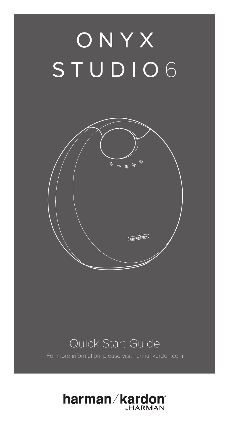# ONYX STUDIO6



### Quick Start Guide

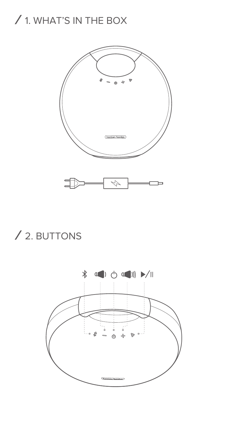### / 1. WHAT'S IN THE BOX



# / 2. BUTTONS

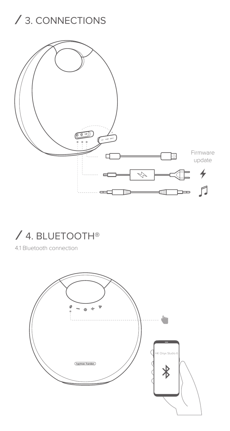## / 3. CONNECTIONS



## / 4. BLUETOOTH®

4.1 Bluetooth connection

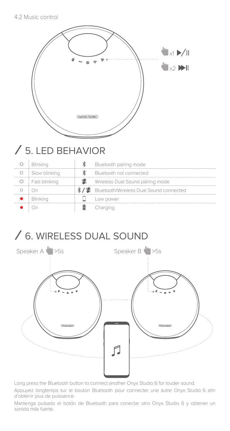| $\mathbf{w}_{\times 1} \blacktriangleright / \mathbf{u}$<br>$\mathbf{w}_{x2}$ $\mathbf{w}$<br>harman/kardon |  |
|-------------------------------------------------------------------------------------------------------------|--|
| $/5$ I FD REHAVIOR                                                                                          |  |

# / 5. LED BEHAVIOR

| Blinking      | Bluetooth pairing mode                     |
|---------------|--------------------------------------------|
| Slow blinking | Bluetooth not connected                    |
| Fast blinking | Wireless Dual Sound pairing mode           |
|               | /器 Bluetooth/Wireless Dual Sound connected |
| Blinking      | Low power                                  |
|               | Charging                                   |

### / 6. WIRELESS DUAL SOUND



Long press the Bluetooth button to connect another Onyx Studio 6 for louder sound.

Appuyez longtemps sur le bouton Bluetooth pour connecter une autre Onyx Studio 6 afin d'obtenir plus de puissance.

Mantenga pulsado el botón de Bluetooth para conectar otro Onyx Studio 6 y obtener un sonido más fuerte.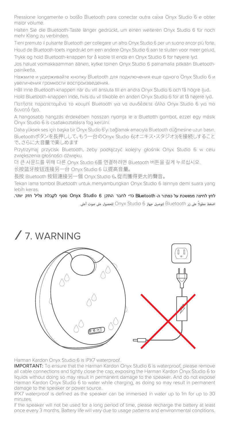Pressione longamente o botão Bluetooth para conectar outra caixa Onyx Studio 6 e obter maior volume.

Halten Sie die Bluetooth-Taste länger gedrückt, um einen weiteren Onyx Studio 6 für noch mehr Klang zu verbinden.

Tieni premuto il pulsante Bluetooth per collegare un altro Onyx Studio 6 per un suono ancor più forte. Houd de Bluetooth-toets ingedrukt om een andere Onyx Studio 6 aan te sluiten voor meer geluid. Trykk og hold Bluetooth-knappen for å koble til enda en Onyx Studio 6 for høyere lyd.

Jos haluat voimakkaamman äänen, kytke toinen Onyx Studio 6 painamalla pitkään Bluetoothpainiketta.

Нажмите и удерживайте кнопку Bluetooth для подключения еще одного Onyx Studio 6 и увеличения громкости воспроизведения.

Håll inne Bluetooth-knappen när du vill ansluta till en andra Onyx Studio 6 och få högre ljud.

Hold Bluetooth-knappen inde, hvis du vil tilkoble en anden Onyx Studio 6 for at få højere lyd. Πατήστε παρατεταμένα το κουμπί Bluetooth για να συνδέσετε άλλο Onyx Studio 6 για πιο δυνατό ήχο.

A hangosabb hangzás érdekében hosszan nyomja le a Bluetotth gombot, ezzel egy másik Onyx Studio 6 is csatlakoztatásra fog kerülni.

Daha yüksek ses için başka bir Onyx Studio 6'yı bağlamak amacıyla Bluetooth düğmesine uzun basın. Bluetoothボタンを長押しして、もう一台のOnyx Studio 6(オニキス・スタジオ3)を接続しすること で、さらに大音量で楽しめます

Przytrzymaj przycisk Bluetooth, żeby podłączyć kolejny głośnik Onyx Studio 6 w celu zwiększenia głośności dźwięku.

더 큰 사운드를 위해 다른 Onyx Studio 6를 연결하려면 Bluetooth 버튼을 길게 누르십시오.

长按蓝牙按钮连接另一台 Onyx Studio 6 以提高音量。

長按 Bluetooth 按鈕連接另一個 Onyx Studio 6,從而獲得更大的聲音。

Tekan lama tombol Bluetooth untuk menyambungkan Onyx Studio 6 lainnya demi suara yang

lebih keras.<br>לחץ לחיצה ממושכת על כפתור ה-Bluetooth כדי לחבר התקן Onyx Studio 6 (לקבלת צליל חזק יותר. ً على زر Bluetooth لتوصيل جهاز 6 Studio Onyx للحصول على صوت أعلى. اضغط مطولا



Harman Kardon Onyx Studio 6 is IPX7 waterproof.

IMPORTANT: To ensure that the Harman Kardon Onyx Studio 6 is waterproof, please remove all cable connections and tightly close the cap; exposing the Harman Kardon Onyx Studio 6 to liquids without doing so may result in permanent damage to the speaker. And do not expose Harman Kardon Onyx Studio 6 to water while charging, as doing so may result in permanent damage to the speaker or power source.

IPX7 waterproof is defined as the speaker can be immersed in water up to 1m for up to 30 minutes.

If the speaker will not be used for a long period of time, please recharge the battery at least once every 3 months. Battery life will vary due to usage patterns and environmental conditions.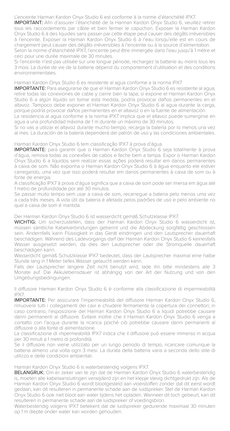L'enceinte Harman Kardon Onyx Studio 6 est conforme à la norme d'étanchéité IPX7.

IMPORTANT: Afin d'assurer l'étanchéité de la Harman Kardon Onyx Studio 6, veuillez retirer tous les raccordements par câble et bien fermer le capuchon. Exposer la Harman Kardon Onyx Studio 6 à des liquides sans passer par cette étape peut causer des dégâts irréversibles à l'enceinte. Exposer la Harman Kardon Onyx Studio 6 à l'eau lorsqu'elle est en cours de chargement peut causer des dégâts irréversibles à l'enceinte ou à la source d'alimentation. Selon la norme d'étanchéité IPX7, l'enceinte peut être immergée dans l'eau jusqu'à 1 mètre et

ceci pour une durée maximale de 30 minutes. Si l'enceinte n'est pas utilisée sur une longue période, rechargez la batterie au moins tous les 3 mois. La durée de vie de la batterie dépend du comportement d'utilisation et des conditions environnementales.

Harman Kardon Onyx Studio 6 es resistente al agua conforme a la norma IPX7.

IMPORTANTE: Para asegurarse de que el Harman Kardon Onyx Studio 6 es resistente al agua, retire todas las conexiones de cable y cierre bien la tapa; si expone el Harman Kardon Onyx Studio 6 a algún líquido sin tomar esta medida, podría provocar daños permanentes en el altavoz. Tampoco debe exponer el Harman Kardon Onyx Studio 6 al agua durante la carga, porque podría provocar daños permanentes en el altavoz o en la fuente de alimentación.

La resistencia al agua conforme a la norma IPX7 implica que el altavoz puede sumergirse en agua a una profundidad máxima de 1 m durante un máximo de 30 minutos.

Si no vas a utilizar el altavoz durante mucho tiempo, recarga la batería por lo menos una vez al mes. La duración de la batería dependerá del patrón de uso y las condiciones ambientales.

Harman Kardon Onyx Studio 6 tem classificação IPX7 à prova d'água.

IMPORTANTE: para garantir que o Harman Kardon Onyx Studio 6 seja totalmente à prova d'água, remova todas as conexões de cabos e feche bem a tampa. Expor o Harman Kardon Onyx Studio 6 a líquidos sem realizar essas ações poderá resultar em danos permanentes à caixa de som. Não exponha o Harman Kardon Onyx Studio 6 à água enquanto ele estiver carregando, uma vez que isso poderá resultar em danos permanentes à caixa de som ou à fonte de energia.

A classificação IPX7 à prova d'água significa que a caixa de som pode ser imersa em água até 1 metro de profundidade por até 30 minutos.

Se passar muito tempo sem usar a caixa de som, recarregue a bateria pelo menos uma vez a cada três meses. A vida útil da bateria é afetada pelos padrões de uso e pelo ambiente no qual a caixa de som é mantida.

Der Harman Kardon Onyx Studio 6 ist wasserdicht gemäß Schutzklasse IPX7.

WICHTIG: Um sicherzustellen, dass der Harman Kardon Onyx Studio 6 wasserdicht ist, müssen sämtliche Kabelverbindungen getrennt und die Abdeckung sorgfältig geschlossen sein. Andernfalls kann Flüssigkeit in das Gerät eindringen und den Lautsprecher dauerhaft beschädigen. Während des Ladevorgangs darf der Harman Kardon Onyx Studio 6 keinesfalls Wasser ausgesetzt werden, da dies den Lautsprecher oder die Stromquelle dauerhaft beschädigen kann.

Wasserdicht gemäß Schutzklasse IPX7 bedeutet, dass der Lautsprecher maximal eine halbe Stunde lang in 1 Meter tiefes Wasser getaucht werden kann.

Falls der Lautsprecher längere Zeit nicht benutzt wird, lade ihn bitte mindestens alle 3 Monate auf. Die Akkulebensdauer ist abhängig von der Art der Nutzung und von den Umgebungsbedingungen.

Il diffusore Harman Kardon Onyx Studio 6 è conforme alla classificazione di impermeabilità IPX7.

IMPORTANTE: Per assicurare l'impermeabilità del diffusore Harman Kardon Onyx Studio 6, rimuovere tutti i collegamenti dei cavi e chiudere fermamente la copertura dei connettori; in caso contrario, l'esposizione del Harman Kardon Onyx Studio 6 a liquidi potrebbe causare danni permanenti al diffusore. Evitare inoltre che il Harman Kardon Onyx Studio 6 venga a contatto con l'acqua durante la ricarica poiché ciò potrebbe causare danni permanenti al diffusore o alla fonte di alimentazione.

La classificazione di impermeabilità IPX7 indica che il diffusore può essere immerso in acqua per 30 minuti a 1 metro di profondità.

Se il diffusore non viene utilizzato per un lungo periodo di tempo, ricaricare comunque la batteria almeno una volta ogni 3 mesi. La durata della batteria varia a seconda dello stile di utilizzo e delle condizioni ambientali.

Harman Kardon Onyx Studio 6 is waterbestendig volgens IPX7.

BELANGRIJK: Om er zeker van te zijn dat de Harman Kardon Onyx Studio 6 waterbestendig is, moeten alle kabelaansluitingen verwijderd zijn en het klepje stevig dichtgedrukt zijn. Als de Harman Kardon Onyx Studio 6 wordt blootgesteld aan vloeistoffen zonder dat dit eerst wordt gedaan, kan dit resulteren in permanente schade aan de luidspreker. Stel de Harman Kardon Onyx Studio 6 ook niet bloot aan water tijdens het opladen. Wanneer dit toch gebeurt, kan dit resulteren in permanente schade aan de luidspreker of voedingsbron.

Waterbestendig volgens IPX7 betekent dat de luidspreker gedurende maximaal 30 minuten op 1 m diepte onder water kan worden gehouden.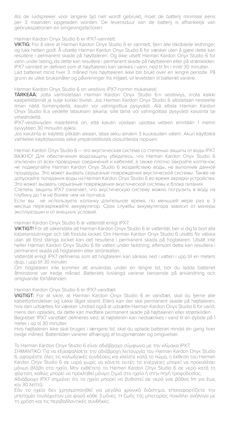Als de luidspreker voor langere tijd niet wordt gebruikt, moet de batterij minimaal eens per 3 maanden opgeladen worden. De levensduur van de batterij is afhankelijk van gebruikspatronen en omgevingsfactoren.

#### Harman Kardon Onyx Studio 6 er IPX7-vanntett.

VIKTIG: For å sikre at Harman Kardon Onyx Studio 6 er vanntett, fjern alle tilkoblede ledninger, og lukk hetten godt. Å utsette Harman Kardon Onyx Studio 6 for væsker uten å gjøre dette kan resultere i permanent skade på høyttaleren. Og ikke utsett Harman Kardon Onyx Studio 6 for vann under lading, da dette kan resultere i permanent skade på høyttaleren eller på strømkilden. IPX7 vanntett er definert som at høyttaleren kan senkes i vann, ned til 1m i inntil 30 minutter. Lad batteriet minst hver 3. måned hvis høyttaleren ikke blir brukt over en lengre periode. På grunn av ulike bruksmåter og påvirkninger fra miljøet, vil levetiden til batteriet variere.

#### Harman Kardon Onyx Studio 6 on vesitiivis IPX7-normin mukaisesti.

TÄRKEÄÄ: Jotta varmistetaan Harman Kardon Onyx Studio 6:n vesitiiviys, irrota kaikki kaapeliliitännät ja sulje korkki tiiviisti. Jos Harman Kardon Onyx Studio 6 altistetaan nesteelle ilman näitä toimenpiteitä, kaiutin voi vahingoittua pysyvästi. Älä altista Harman Kardon Onyx Studio 6:a vedelle latauksen aikana, sillä tämä voi vahingoittaa pysyvästi kaiutinta tai virtalähdettä.

IPX7-vesitiiviyden määritelmä on, että kaiutin voidaan upottaa veteen enintään 1 metrin syvyyteen 30 minuutin ajaksi.

Jos kaiutinta ei käytetä pitkään aikaan, lataa akku ainakin 3 kuukauden välein. Akun käyttöikä vaihtelee käyttötavoista sekä ympäristöllisistä olosuhteista riippuen.

Harman Kardon Onyx Studio 6 — это акустическая система со степенью защиты от воды IPX7. ВАЖНО! Для обеспечения водозащиты убедитесь, что Harman Kardon Onyx Studio 6 отключен от всех проводных соединений и кабелей, а также плотно закройте колпачок; не подвергайте Harman Kardon Onyx Studio 6 воздействию воды, не выполнив данной процедуры. Это может вызвать серьезные повреждения акустической системы. Также не допускайте попадания воды на Harman Kardon Onyx Studio 6 во время зарядки устройства. Это может вызвать серьезные повреждения акустической системы и блока питания.

Степень защиты IPX7 означает, что акустическую систему можно погрузить в воду на глубину до 1 м не более чем на полчаса.

Если вы не используете колонку длительное время, по меньшей мере раз в 3 месяца перезаряжайте аккумулятор. Срок службы аккумулятора зависит от манеры эксплуатации и от внешних условий.

#### Harman Kardon Onyx Studio 6 är vattentät enligt IPX7.

VIKTIGT! För att säkerställa att Harman Kardon Onyx Studio 6 är vattentät, ber vi dig ta bort alla kabelanslutningar och tätt försluta locket. Om Harman Kardon Onyx Studio 6 utsätts för vätska utan att först stänga locket kan det resultera i permanent skada på högtalaren. Utsätt inte heller Harman Kardon Onyx Studio 6 för vatten under laddning, eftersom detta kan resultera i permanent skada på högtalaren eller strömkällan.

Vattentät enligt IPX7 definieras som att högtalaren kan sänkas ned i vatten i upp till en meters djup, i upp till 30 minuter.

Om högtalaren inte kommer att användas under en längre tid, bör du ladda batteriet åtminstone var tredje månad. Batteriets livslängd varierar beroende på användning och omgivande förhållanden.

#### Harman Kardon Onyx Studio 6 er IPX7-vandtæt.

VIGTIGT: For at sikre, at Harman Kardon Onyx Studio 6 er vandtæt, skal du fjerne alle kabelforbindelser og lukke låget stramt. Ellers kan der ske permanent skade på højttaleren, hvis den udsættes for væsker. Undlad også at udsætte Harman Kardon Onyx Studio 6 for vand, mens den oplades, da dette kan medføre permanent skade på højttaleren eller strømkilden.

Begrebet 'IPX7 vandtæt' defineres ved, at højtaleren kan nedsænkes i vand til en dybde på 1 meter i op til 30 minutter.

Hvis højttaleren ikke skal bruges i længere tid, skal du oplade batteriet mindst én gang hver tredje måned. Batteritiden varierer afhængig af brugsmønster og omgivelser.

#### Το Harman Kardon Onyx Studio 6 είναι αδιάβροχο σύμφωνα με την κλίμακα IPX7.

ΣΗΜΑΝΤΙΚΟ: Για να εξασφαλίσετε την αδιάβροχη λειτουργία του Harman Kardon Onyx Studio 6, αφαιρέστε όλες τις καλωδιακές συνδέσεις και κλείστε καλά το πώμα, η έκθεση του Harman Kardon Onyx Studio 6 σε υγρά χωρίς να κάνετε αυτές τις ενέργειες μπορεί να προκαλέσει μόνιμη βλάβη στο ηχείο. Μην εκθέτετε το Harman Kardon Onyx Studio 6 σε νερό κατά τη φόρτιση, καθώς μπορεί να προκληθεί μόνιμη ζημιά στο ηχείο ή στην πηγή τροφοδοσίας.

Αδιάβροχο IPX7 σημαίνει ότι το ηχείο μπορεί να βυθιστεί σε νερό γσε βάθος 1m για έως και 30 λεπτά.

Εάν το ηχείο δεν χρησιμοποιηθεί για μεγάλο χρονικό διάστημα, επαναφορτίζετε την μπαταρία τουλάχιστον μία φορά κάθε 3 μήνες. Η ζωής της μπαταρίας ποικίλλει ανάλογα με τη χρήση και τις περιβαλλοντικές συνθήκες.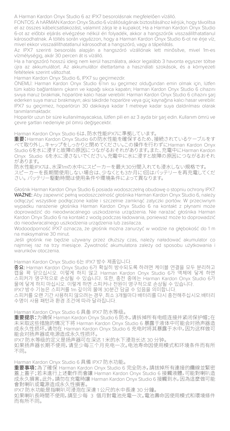A Harman Kardon Onyx Studio 6 az IPX7 besorolásnak megfelelően vízálló.

FONTOS: A hARMAN Kardon Onyx Studio 6 vízállóságának biztosításához kérjük, hogy távolítsa el az összes kábelcsatlakozást, valamint zárja le a kupakot; Ha a Harman Kardon Onyx Studio 6-ot az előbbi eljárás elvégzése nélkül éri folyadék, akkor a hangszórók visszaállíthatatlanul károsodhatnak. A töltés során vigyázzon, hogy a Harman Kardon Onyx Studio 6-ot ne érje víz, mivel ekkor visszaállíthatatlanul károsodhat a hangszóró, vagy a tápellátás.

Az IPX7 szerinti besorolás alapján a hangszóró vízállónak lett minősítve, mivel 1m-es vízmélységig, akár 30 percen át is vízálló.

Ha a hangszóró hosszú ideig nem kerül használatra, akkor legalább 3 havonta egyszer töltse újra az akkumulátort. Az akkumulátor élettartama a használati szokások, és a környezeti feltételek szerint változhat.

Harman Kardon Onyx Studio 6, IPX7 su geçirmezdir.

ÖNEMLİ: Harman Kardon Onyx Studio 6'nın su geçirmez olduğundan emin olmak için, lütfen tüm kablo bağlantılarını çıkarın ve kapağı sıkıca kapatın; Harman Kardon Onyx Studio 6 cihazını sıvıya maruz bırakmak, hoparlöre kalıcı hasar verebilir. Harman Kardon Onyx Studio 6 cihazını şarj ederken suya maruz bırakmayın; aksi takdirde hoparlöre veya güç kaynağına kalıcı hasar verebilir. IPX7 su geçirmez, hoparlörün 30 dakikaya kadar 1 metreye kadar suya daldırılması olarak tanımlanmaktadır.

Hoparlör uzun bir süre kullanılmayacaksa, lütfen pili en az 3 ayda bir şarj edin. Kullanım ömrü ve çevre şartları nedeniyle pil ömrü değişecektir.

Harman Kardon Onyx Studio 6は、防水性能IPX7に準拠しています。

重要:Harman Kardon Onyx Studio 6の防水性能を確保するため、接続されているケーブルをす べて取り外し、キャップをしっかりと閉めてください。この操作を行わずにHarman Kardon Onyx 、<br>Studio 6を水に浸すと故障の原因につながるおそれがあります。また、充電中にHarman Kardon Onyx Studio 6を水に浸さないでください。充電中に水に浸すと故障の原因につながるおそれ があります。

防水性能IPX7は、水深1mの水中にスピーカーを最大30分間入れても浸水しない規格です。 スピーカーを長期間使用しない場合は、少なくとも3か月に1回はバッテリーを再充電してくだ さい。バッテリー駆動時間は使用条件や環境条件によって異なります。

Głośnik Harman Kardon Onyx Studio 6 posiada wodoszczelną obudowę o stopniu ochrony IPX7. WAŻNE: Aby zapewnić pełną wodoszczelność głośnika Harman Kardon Onyx Studio 6, należy odłączyć wszystkie podłączone kable i szczelnie zamknąć zatyczki portów. W przeciwnym wypadku narażenie głośnika Harman Kardon Onyx Studio 6 na kontakt z płynami może doprowadzić do nieodwracalnego uszkodzenia urządzenia. Nie narażać głośnika Harman Kardon Onyx Studio 6 na kontakt z wodą podczas ładowania, ponieważ może to doprowadzić do nieodwracalnego uszkodzenia urządzenia lub zasilacza.

Wodoodporność IPX7 oznacza, że głośnik można zanurzyć w wodzie na głębokość do 1 m na maksymalnie 30 minut.

Jeśli głośnik nie będzie używany przez dłuższy czas, należy naładować akumulator co najmniej raz na trzy miesiące. Żywotność akumulatora zależy od sposobu użytkowania i warunków otoczenia.

Harman Kardon Onyx Studio 6는 IPX7 방수 제품입니다.

중요: Harman Kardon Onyx Studio 6가 확실히 방수되도록 하려면 케이블 연결을 모두 분리하고 캡을 꽉 닫으십시오. 이렇게 하지 않고 Harman Kardon Onyx Studio 6가 액체에 닿게 하면<br>스피커가 영구적으로 손상될 수 있습니다. 또한, 충전 중에는 Harman Kardon Onyx Studio 6가<br>물에 닿게 하지 마십시오. 이렇게 하면 스피커나 전원이 영구적으로 손상될 수 있습니다.

IPX7 방수 기능은 스피커를 1m 깊이의 불에 30분간 담글 수 있음을 의미합니다.<br>스피커를 오랜 기간 사용하지 않으려는 경우, 최소 3개월마다 배터리를 다시 충전해주십시오.배터리<br>수명이 사용 패턴과 환경 조건에 따라 달라집니다.

Harman Kardon Onyx Studio 6 具备 IPX7 防水等级。

重要提示:为确保 Harman Kardon Onyx Studio 6 防水,请拆掉所有电缆连接并紧闭保护帽;在 未采取这些措施的情况下将 Harman Kardon Onyx Studio 6 暴露于液体中可能会对扬声器造 成永久性损坏。请勿在 Harman Kardon Onyx Studio 6 充电时将其暴露于水中,因为这样做可 能会对扬声器或电源造成永久性损坏。

IPX7 防水等级的定义是扬声器可在深达 1 米的水下浸泡长达 30 分钟。

如果扬声器长期不使用,请至少每三个月充电一次。电池寿命因使用模式和环境条件而有所 不同。

Harman Kardon Onyx Studio 6 具備 IPX7 防水功能。

重要事項:為了確保 Harman Kardon Onyx Studio 6 完全防水,請拔掉所有連接的纜線並緊密 蓋上蓋子;若未進行上述動作而會讓 Harman Kardon Onyx Studio 6 接觸液體, 可能對喇叭造<br>成永久損害。此外, 請勿在充電時讓 Harman Kardon Onyx Studio 6 接觸到水, 因為這麼做可能<br>會對喇叭或電源造成永久性損害。

IPX7 防水功能是指喇叭可浸泡在深達 1 公尺的水中長達 30 分鐘。

如果喇叭長時間不使用,請至少每 3 個月對電池充電一次。電池壽命因使用模式和環境條件 而有所不同。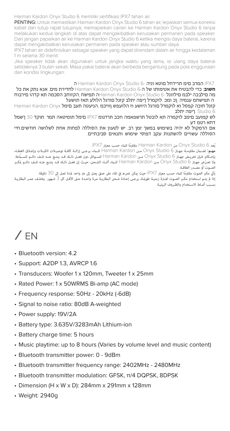Harman Kardon Onyx Studio 6 memiliki sertifikasi IPX7 tahan air.

PENTING: Untuk memastikan Harman Kardon Onyx Studio 6 tahan air, lepaskan semua koneksi kabel dan tutup rapat tutupnya; memaparkan cairan ke Harman Kardon Onyx Studio 6 tanpa melakukan kedua langkah di atas dapat mengakibatkan kerusakan permanen pada speaker. Dan jangan paparkan air ke Harman Kardon Onyx Studio 6 ketika mengisi daya baterai, karena dapat mengakibatkan kerusakan permanen pada speaker atau sumber daya.

IPX7 tahan air didefinisikan sebagai speaker yang dapat direndam dalam air hingga kedalaman 1 m selama 30 menit.

Jika speaker tidak akan digunakan untuk jangka waktu yang lama, isi ulang daya baterai setidaknya 3 bulan sekali. Masa pakai baterai akan berbeda bergantung pada pola enggunaan dan kondisi lingkungan.

7.IPX המרב םימ תרידחל םוטא וניה 6- Studio Onyx Kardon Harman ה

**חשוב**: כדי להבטיח את אטימותו של ה6- Studio Onyx Kardon Harman לחדירת מים, אנא נתק את כל מה םילבכה ילבמ םילזונל 6- Studio Onyx Kardon Harmanה תפישח ;הקזוחב הסכמה תא קדהו םירבוח ה תפישחמ ענמיה ,ןכ ומכ .לוקמרל ךיפה יתלב קזנל םורגל הלולע תאז תושעל

קזנל חוכה קפסל וא לוקמרל םורגל היושע וז הלועפש ןוויכמ ,הניעטה תעב םימל Onyx Kardon Harman 6 Studio .ךיפה יתלב

לש קמועב םימב לוקמרה תא לובטל תרשפאמה וזככ תרדגומ 7IPX םימל תומיטאה תמר .תוקד 30 ךשמל דחא רטמ דע

אם הרמקול לא יהיה בשימוש במשך זמן רב, יש לטעון את הסוללה לפחות אחת לשלושה חודשים. חיי הסוללה עשויים להשתנות עקב דפוסי שימוש ותנאים סביבתיים.

ُيعد 6 Studio Onyx من Kardon Harman ً مقاوما للء حسب معيار 7IPX.

**مهــم**: لضــن مقاومــة جهــاز 6 Studio Onyx مــن Kardon Harman للــء، يرجــى إزالــة كافــة توصيــلات الكبــلات وإغــلاق الغطــاء بإحكام. فإن تعريض جهاز Onyx Studio 6 من Harman Kardon للسوائل دون فعـل ذلك قـد ينتج عنـه تلـف دائـم للسـماعة.<br>ولا تعـرَّض جهـاز Onyx Studio 6 مـن Harman Kardon للـما، أثنـا، الشـعن، حيـث إن فعـل ذلك قـد ينتج عنـه تلـف دائ الصـوت أو مصـدر الطاقـة.

يأتي مكبر الصوت مقاومًا للبناء حسب معيار PX7 حيث ڥكن غمره في الماء على عمق يصل إلى متر واحد لمدة تصل إلى 30 دقيقة. .<br>إذا لم يتـم اسـتخدام مكـبر الصـوت لفـترة زمنيـة طويلـة، يرجـى إعـادة شـحن البطاريـة مـرة واحـدة عـلى الأقـل كل 3 شـهور. يختلـف عمـر البطاريـة بسـبب أÁـاط الاسـتخدام والظـروف البيئيـة.

# $/$  FN

- Bluetooth version: 4.2
- Support: A2DP 1.3, AVRCP 1.6
- Transducers: Woofer 1 x 120mm, Tweeter 1 x 25mm
- Rated Power: 1 x 50WRMS Bi-amp (AC mode)
- Frequency response: 50Hz 20kHz (-6dB)
- Signal to noise ratio: 80dB A-weighted
- Power supply: 19V/2A
- Battery type: 3.635V/3283mAh Lithium-ion
- Battery charge time: 5 hours
- Music playtime: up to 8 hours (Varies by volume level and music content)
- Bluetooth transmitter power: 0 9dBm
- Bluetooth transmitter frequency range: 2402MHz 2480MHz
- Bluetooth transmitter modulation: GFSK, π/4 DQPSK, 8DPSK
- Dimension (H x W x D): 284mm x 291mm x 128mm
- Weight: 2940g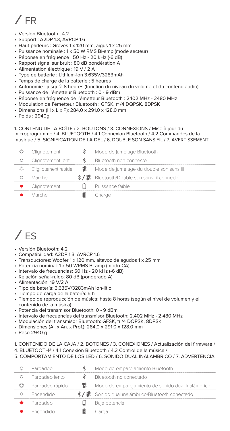# / FR

- Version Bluetooth : 4.2
- Support : A2DP 1.3, AVRCP 1.6
- Haut-parleurs : Graves 1 x 120 mm, aigus 1 x 25 mm
- Puissance nominale : 1 x 50 W RMS Bi-amp (mode secteur)
- Réponse en fréquence : 50 Hz 20 kHz (-6 dB)
- Rapport signal sur bruit : 80 dB pondération A
- Alimentation électrique : 19 V / 2 A
- Type de batterie : Lithium-ion 3,635V/3283mAh
- Temps de charge de la batterie : 5 heures
- Autonomie : jusqu'à 8 heures (fonction du niveau du volume et du contenu audio)
- Puissance de l'émetteur Bluetooth : 0 9 dBm
- Réponse en fréquence de l'émetteur Bluetooth : 2402 MHz 2480 MHz
- Modulation de l'émetteur Bluetooth : GFSK, π /4 DQPSK, 8DPSK
- Dimensions (H x L x P): 284,0 x 291,0 x 128,0 mm
- Poids : 2940g

#### 1. CONTENU DE LA BOÎTE / 2. BOUTONS / 3. CONNEXIONS / Mise à jour du microprogramme / 4. BLUETOOTH / 4.1 Connexion Bluetooth / 4.2 Commandes de la musique / 5. SIGNIFICATION DE LA DEL / 6. DOUBLE SON SANS FIL / 7. AVERTISSEMENT

| Clignotement        |       | Mode de jumelage Bluetooth                  |
|---------------------|-------|---------------------------------------------|
| Clignotement lent   |       | Bluetooth non connecté                      |
| Clignotement rapide | - 120 | Mode de jumelage du double son sans fil     |
| Marche              |       | */ ▓ Bluetooth/Double son sans fil connecté |
| Clignotement        |       | Puissance faible                            |
|                     |       | Charge                                      |

### $/$  FS

- Versión Bluetooth: 4.2
- Compatibilidad: A2DP 1.3, AVRCP 1.6
- Transductores: Woofer 1 x 120 mm, altavoz de agudos 1 x 25 mm
- Potencia nominal: 1 x 50 WRMS Bi-amp (modo CA)
- Intervalo de frecuencias: 50 Hz 20 kHz (-6 dB)
- Relación señal-ruido: 80 dB (ponderado A)
- Alimentación: 19 V/2 A
- Tipo de batería: 3,635V/3283mAh ion-litio
- Tiempo de carga de la batería: 5 h
- Tiempo de reproducción de música: hasta 8 horas (según el nivel de volumen y el contenido de la música)
- Potencia del transmisor Bluetooth: 0 9 dBm
- Intervalo de frecuencias del transmisor Bluetooth: 2.402 MHz 2.480 MHz
- Modulación del transmisor Bluetooth: GFSK, π /4 DQPSK, 8DPSK
- Dimensiones (Al. x An. x Prof.): 284,0 x 291,0 x 128,0 mm
- Peso 2940 g

#### 1. CONTENIDO DE LA CAJA / 2. BOTONES / 3. CONEXIONES / Actualización del firmware /

- 4. BLUETOOTH® / 4.1 Conexión Bluetooth / 4.2 Control de la música /
- 5. COMPORTAMIENTO DE LOS LED / 6. SONIDO DUAL INALÁMBRICO / 7. ADVERTENCIA

| Parpadeo        | Modo de emparejamiento Bluetooth                  |
|-----------------|---------------------------------------------------|
| Parpadeo lento  | Bluetooth no conectado                            |
| Parpadeo rápido | Modo de emparejamiento de sonido dual inalámbrico |
| Encendido       | */灈 Sonido dual inalámbrico/Bluetooth conectado   |
| Parpadeo        | Baia potencia                                     |
| Encendido       |                                                   |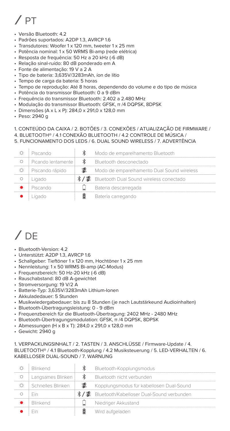# $/$  PT

- Versão Bluetooth: 4.2
- Padrões suportados: A2DP 1.3, AVRCP 1.6
- Transdutores: Woofer 1 x 120 mm, tweeter 1 x 25 mm
- Potência nominal: 1 x 50 WRMS Bi-amp (rede elétrica)
- Resposta de frequência: 50 Hz a 20 kHz (-6 dB)
- Relação sinal-ruído: 80 dB ponderado em A
- Fonte de alimentação: 19 V a 2 A
- Tipo de bateria: 3,635V/3283mAh, íon de lítio
- Tempo de carga da bateria: 5 horas
- Tempo de reprodução: Até 8 horas, dependendo do volume e do tipo de música
- Potência do transmissor Bluetooth: 0 a 9 dBm
- Frequência do transmissor Bluetooth: 2.402 a 2.480 MHz
- Modulação do transmissor Bluetooth: GFSK, π /4 DQPSK, 8DPSK
- Dimensões (A x L x P): 284,0 x 291,0 x 128,0 mm
- Peso: 2940 g

#### 1. CONTEÚDO DA CAIXA / 2. BOTÕES / 3. CONEXÕES / ATUALIZAÇÃO DE FIRMWARE /

- 4. BLUETOOTH® / 4.1 CONEXÃO BLUETOOTH / 4.2 CONTROLE DE MÚSICA /
- 5. FUNCIONAMENTO DOS LEDS / 6. DUAL SOUND WIRELESS / 7. ADVERTÊNCIA

| Piscando             |   | Modo de emparelhamento Bluetooth            |
|----------------------|---|---------------------------------------------|
| Picando lentamente l | Ж | Bluetooth desconectado                      |
| Piscando rápido      |   | Modo de emparelhamento Dual Sound wireless  |
| Ligado               |   | */  Bluetooth Dual Sound wireless conectado |
| Piscando             |   | Bateria descarregada                        |
|                      |   | Bateria carregando                          |

# $/$  DE

- Bluetooth-Version: 4.2
- Unterstützt: A2DP 1.3, AVRCP 1.6
- Schallgeber: Tieftöner 1 x 120 mm, Hochtöner 1 x 25 mm
- Nennleistung: 1 x 50 WRMS Bi-amp (AC-Modus)
- Frequenzbereich: 50 Hz-20 kHz (-6 dB)
- Rauschabstand: 80 dB A-gewichtet
- Stromversorgung: 19 V/2 A
- Batterie-Typ: 3,635V/3283mAh Lithium-Ionen
- Akkuladedauer: 5 Stunden
- Musikwiedergabedauer: bis zu 8 Stunden (je nach Lautstärkeund Audioinhalten)
- Bluetooth-Übertragungsleistung: 0 9 dBm
- Frequenzbereich für die Bluetooth-Übertragung: 2402 MHz 2480 MHz
- Bluetooth-Übertragungsmodulation: GFSK, π /4 DQPSK, 8DPSK
- Abmessungen (H x B x T): 284,0 x 291,0 x 128,0 mm
- Gewicht: 2940 g

1. VERPACKUNGSINHALT / 2. TASTEN / 3. ANSCHLÜSSE / Firmware-Update / 4. BLUETOOTH® / 4.1 Bluetooth-Kopplung / 4.2 Musiksteuerung / 5. LED-VERHALTEN / 6. KABELLOSER DUAL-SOUND / 7. WARNUNG

| <b>Rlinkend</b>   |   | Bluetooth-Kopplungsmodus                       |
|-------------------|---|------------------------------------------------|
| Langsames Blinken | ж | Bluetooth nicht verbunden                      |
| Schnelles Blinken |   | Kopplungsmodus für kabellosen Dual-Sound       |
|                   |   | */ ▓ Bluetooth/Kabelloser Dual-Sound verbunden |
| <b>Rlinkend</b>   |   | Niedriger Akkustand                            |
|                   |   | Wird aufgeladen                                |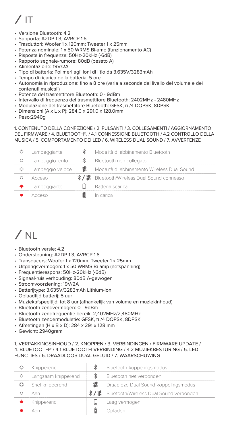# $/$  IT

- Versione Bluetooth: 4.2
- Supporta: A2DP 1.3, AVRCP 1.6
- Trasduttori: Woofer 1 x 120mm; Tweeter 1 x 25mm
- Potenza nominale: 1 x 50 WRMS Bi-amp (funzionamento AC)
- Risposta in frequenza: 50Hz-20kHz (-6dB)
- Rapporto segnale-rumore: 80dB (pesato A)
- Alimentazione: 19V/2A
- Tipo di batteria: Polimeri agli ioni di litio da 3.635V/3283mAh
- Tempo di ricarica della batteria: 5 ore
- Autonomia in riproduzione: fino a 8 ore (varia a seconda del livello del volume e dei contenuti musicali)
- Potenza del trasmettitore Bluetooth: 0 9dBm
- Intervallo di frequenza del trasmettitore Bluetooth: 2402MHz 2480MHz
- Modulazione del trasmettitore Bluetooth: GFSK, π /4 DQPSK, 8DPSK
- Dimensioni (A x L x P): 284.0 x 291.0 x 128.0mm
- Peso:2940g

#### 1. CONTENUTO DELLA CONFEZIONE / 2. PULSANTI / 3. COLLEGAMENTI / AGGIORNAMENTO DEL FIRMWARE / 4. BLUETOOTH®. / 4.1 CONNESSIONE BLUETOOTH / 4.2 CONTROLLO DELLA MUSICA / 5. COMPORTAMENTO DELLED / 6. WIRELESS DUAL SOUND / 7. AVVERTENZE

| Lampeggiante     | Modalità di abbinamento Bluetooth                  |
|------------------|----------------------------------------------------|
| Lampeggio lento  | Bluetooth non collegato                            |
| Lampeggio veloce | Modalità di abbinamento Wireless Dual Sound        |
| Acceso           | <b>*/ 器</b> Bluetooth/Wireless Dual Sound connesso |
| Lampeggiante     | Batteria scarica                                   |
|                  | In carica                                          |

### $/ N$

- Bluetooth versie: 4.2
- Ondersteuning: A2DP 1.3, AVRCP 1.6
- Transducers: Woofer 1 x 120mm, Tweeter 1 x 25mm
- Uitgangsvermogen: 1 x 50 WRMS Bi-amp (netspanning)
- Frequentierespons: 50Hz-20kHz (-6dB)
- Signaal-ruis verhouding: 80dB A-gewogen
- Stroomvoorziening: 19V/2A
- Batterijtype: 3,635V/3283mAh Lithium-ion
- Oplaadtijd batterij: 5 uur
- Muziekafspeeltijd: tot 8 uur (afhankelijk van volume en muziekinhoud)
- Bluetooth zendvermogen: 0 9dBm
- Bluetooth zendfrequentie bereik: 2,402MHz/2,480MHz
- Bluetooth zendermodulatie: GFSK, π /4 DQPSK, 8DPSK
- Afmetingen (H x B x D): 284 x 291 x 128 mm
- Gewicht: 2940gram

#### 1. VERPAKKINGSINHOUD / 2. KNOPPEN / 3. VERBINDINGEN / FIRMWARE UPDATE / 4. BLUETOOTH® / 4.1 BLUETOOTH-VERBINDING / 4.2 MUZIEKBESTURING / 5. LED-FUNCTIES / 6. DRAADLOOS DUAL GELUID / 7. WAARSCHUWING

| Knipperend          | Bluetooth-koppelingsmodus                           |
|---------------------|-----------------------------------------------------|
| Langzaam knipperend | Bluetooth niet verbonden                            |
| Snel knipperend     | Draadloze Dual Sound-koppelingsmodus                |
| ∆an                 | <b>※/ ■</b> Bluetooth/Wireless Dual Sound verbonden |
| Knipperend          | Laag vermogen                                       |
|                     | )nlader                                             |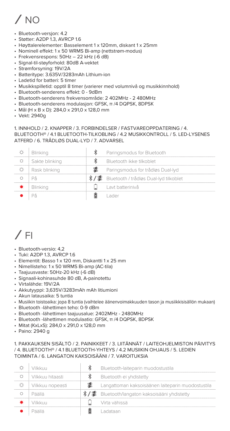# $/$  NO

- Bluetooth-versjon: 4.2
- Støtter: A2DP 1.3, AVRCP 1.6
- Høyttalerelementer: Basselement 1 x 120mm, diskant 1 x 25mm
- Nominell effekt: 1 x 50 WRMS Bi-amp (nettstrøm-modus)
- Frekvensrespons: 50Hz 22 kHz (-6 dB)
- Signal-til-støyforhold: 80dB A-vektet
- Strømforsyning: 19V/2A
- Batteritype: 3.635V/3283mAh Lithium-ion
- Ladetid for batteri: 5 timer
- Musikkspilletid: opptil 8 timer (varierer med volumnivå og musikkinnhold)
- Bluetooth-senderens effekt: 0 9dBm
- Bluetooth-senderens frekvensområde: 2 402MHz 2 480MHz
- Bluetooth-senderens modulasjon: GFSK, π /4 DQPSK, 8DPSK
- Mål (H x B x D): 284,0 x 291,0 x 128,0 mm
- Vekt: 2940g

1. INNHOLD / 2. KNAPPER / 3. FORBINDELSER / FASTVAREOPPDATERING / 4. BLUETOOTH® / 4.1 BLUETOOTH-TILKOBLING / 4.2 MUSIKKONTROLL / 5. LED-LYSENES ATFERD / 6. TRÅDLØS DUAL-LYD / 7. ADVARSEL

| Blinking       | Paringsmodus for Bluetooth                  |
|----------------|---------------------------------------------|
| Sakte blinking | Bluetooth ikke tilkoblet                    |
| Rask blinking  | Paringsmodus for trådløs Dual-lyd           |
|                | */ 器 Bluetooth / trådløs Dual-lyd tilkoblet |
| Blinking       | Layt batterinivâ                            |
|                | ader                                        |

### $/$  FI

- Bluetooth-versio: 4,2
- Tuki: A2DP 1.3, AVRCP 1.6
- Elementit: Basso 1 x 120 mm, Diskantti 1 x 25 mm
- Nimellisteho: 1 x 50 WRMS Bi-amp (AC-tila)
- Taajuusvaste: 50Hz-20 kHz (-6 dB)
- Signaali-kohinasuhde 80 dB, A-painotettu
- Virtalähde: 19V/2A
- Akkutyyppi: 3,635V/3283mAh mAh litiumioni
- Akun latausaika: 5 tuntia
- Musiikin toistoaika: jopa 8 tuntia (vaihtelee äänenvoimakkuuden tason ja musiikkisisällön mukaan)
- Bluetooth -lähettimen teho: 0-9 dBm
- Bluetooth -lähettimen taajuusalue: 2402MHz 2480MHz
- Bluetooth -lähettimen modulaatio: GFSK, π /4 DQPSK, 8DPSK
- Mitat (KxLxS): 284,0 x 291,0 x 128,0 mm
- Paino: 2940 g

#### 1. PAKKAUKSEN SISÄLTÖ / 2. PAINIKKEET / 3. LIITÄNNÄT / LAITEOHJELMISTON PÄIVITYS / 4. BLUETOOTH® / 4.1 BLUETOOTH-YHTEYS / 4.2 MUSIIKIN OHJAUS / 5. LEDIEN TOIMINTA / 6. LANGATON KAKSOISÄÄNI / 7. VAROITUKSIA

| vilkko o         | Bluetooth-laiteparin muodostustila                |
|------------------|---------------------------------------------------|
| Vilkkuu hitaasti | Bluetooth ei yhdistetty                           |
| Vilkkuu nopeasti | Langattoman kaksoisäänen laiteparin muodostustila |
| Paalla           | */ ■ Bluetooth/langaton kaksoisääni yhdistetty    |
| Vilkkuut         | Virta vähissä                                     |
| 出出目出             | adataan                                           |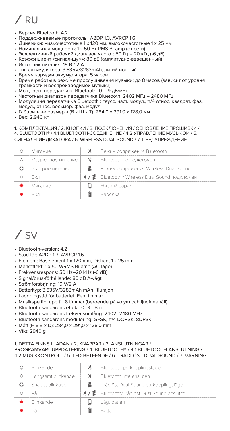# / RU

- Версия Bluetooth: 4.2
- Поддерживаемые протоколы: A2DP 1.3, AVRCP 1.6
- Динамики: низкочастотные 1 x 120 мм, высокочастотные 1 x 25 мм
- Номинальная мощность: 1 x 50 Вт RMS Bi-amp (от сети)
- Эффективный рабочий диапазон частот: 50 Гц 20 кГц (-6 дБ)
- Коэффициент «сигнал-шум»: 80 дБ (амплитудно-взвешенный)
- Источник питания: 19 В / 2 A
- Тип аккумулятора: 3,635V/3283mAh, литий-ионный
- Время зарядки аккумулятора: 5 часов
- Время работы в режиме прослушивания музыки: до 8 часов (зависит от уровня громкости и воспроизводимой музыки)
- Мощность передатчика Bluetooth:  $0 9$  дБ/мВт
- Частотный диапазон передатчика Bluetooth: 2402 МГц 2480 МГц
- Модуляция передатчика Bluetooth : гаусс. част. модул., π/4 относ. квадрат. фаз. модул., относ. восьмер. фаз. модул.
- Габаритные размеры (В x Ш x Т): 284,0 x 291,0 x 128,0 мм
- Вес: 2,940 кг

#### 1. КОМПЛЕКТАЦИЯ / 2. КНОПКИ / 3. ПОДКЛЮЧЕНИЯ / ОБНОВЛЕНИЕ ПРОШИВКИ / 4. BLUETOOTH® / 4.1 BLUETOOTH-СОЕДИНЕНИЕ / 4.2 УПРАВЛЕНИЕ МУЗЫКОЙ / 5. СИГНАЛЫ ИНДИКАТОРА / 6. WIRELESS DUAL SOUND / 7. ПРЕДУПРЕЖДЕНИЕ

| Мигание           | Режим сопряжения Bluetooth                     |
|-------------------|------------------------------------------------|
| Медленное мигание | Bluetooth не подключен                         |
| Быстрое мигание   | Режим сопряжения Wireless Dual Sound           |
| Rĸn               | */ . Bluetooth / Wireless Dual Sound подключен |
| Мигание           | Низкий заряд                                   |
|                   |                                                |

### / SV

- Bluetooth-version: 4.2
- Stöd för: A2DP 1.3, AVRCP 1.6
- Element: Baselement 1 x 120 mm, Diskant 1 x 25 mm
- Märkeffekt: 1 x 50 WRMS Bi-amp (AC-läge)
- Frekvensrespons: 50 Hz–20 kHz (-6 dB)
- Signal/brus-förhållande: 80 dB A-vägt
- Strömförsörjning: 19 V/2 A
- Batterityp: 3,635V/3283mAh mAh litiumjon
- Laddningstid för batteriet: Fem timmar
- Musikspeltid: upp till 8 timmar (beroende på volym och ljudinnehåll)
- Bluetooth-sändarens effekt: 0–9 dBm
- Bluetooth-sändarens frekvensomfång: 2402–2480 MHz
- Bluetooth-sändarens modulering: GFSK, π/4 DQPSK, 8DPSK
- Mått (H x B x D): 284,0 x 291,0 x 128,0 mm
- Vikt: 2940 g

#### 1. DETTA FINNS I LÅDAN / 2. KNAPPAR / 3. ANSLUTNINGAR / PROGRAMVARUUPPDATERING / 4. BLUETOOTH® / 4.1 BLUETOOTH-ANSLUTNING / 4.2 MUSIKKONTROLL / 5. LED-BETEENDE / 6. TRÅDLÖST DUAL SOUND / 7. VARNING

| Blinkande          | Bluetooth-parkopplingslöge                        |
|--------------------|---------------------------------------------------|
| Långsamt blinkande | Bluetooth inte ansluten                           |
| Snabht blinkade    | Trådlöst Dual Sound parkopplingsläge              |
|                    | <b>※/器</b> Bluetooth/Trådlöst Dual Sound anslutet |
| Rlinkande          | Lågt batteri                                      |
|                    | Rattar                                            |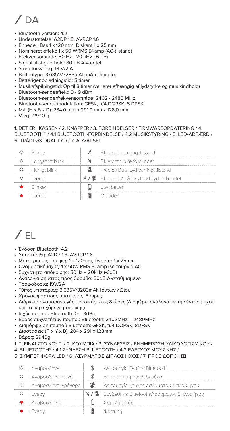# / DA

- Bluetooth-version: 4.2
- Understøttelse: A2DP 1.3, AVRCP 1.6
- Enheder: Bas 1 x 120 mm, Diskant 1 x 25 mm
- Nomineret effekt: 1 x 50 WRMS Bi-amp (AC-tilstand)
- Frekvensområde: 50 Hz 20 kHz (-6 dB)
- Signal til støj-forhold: 80 dB A-vægtet
- Strømforsyning: 19 V/2 A
- Batteritype: 3,635V/3283mAh mAh litium-ion
- Batterigenopladningstid: 5 timer
- Musikafspilningstid: Op til 8 timer (varierer afhængig af lydstyrke og musikindhold)
- Bluetooth-sendeeffekt: 0 9 dBm
- Bluetooth-senderfrekvensområde: 2402 2480 MHz
- Bluetooth-sendermodulation: GFSK, π/4 DQPSK, 8 DPSK
- Mål (H x B x D): 284,0 mm x 291,0 mm x 128,0 mm
- Vægt: 2940 g

1. DET ER I KASSEN / 2. KNAPPER / 3. FORBINDELSER / FIRMWAREOPDATERING / 4. BLUETOOTH® / 4.1 BLUETOOTH-FORBINDELSE / 4.2 MUSIKSTYRING / 5. LED-ADFÆRD / 6. TRÅDLØS DUAL LYD / 7. ADVARSEL

| <b>Blinker</b> | Bluetooth parringstilstand                |
|----------------|-------------------------------------------|
| Langsomt blink | Bluetooth ikke forbundet                  |
| Hurtigt blink  | Trådløs Dual Lyd parringstilstand         |
| Tændt          | */ 器 Bluetooth/Trådløs Dual Lyd forbundet |
| Rlinker        | I avt batteri                             |
| Tændt          | Inlader                                   |

### $/$  FL

- Έκδοση Bluetooth: 4.2
- Υποστήριξη: A2DP 1.3, AVRCP 1.6
- Μετατροπείς: Γούφερ 1 x 120mm, Tweeter 1 x 25mm
- Ονομαστική ισχύς: 1 x 50W RMS Bi-amp (λειτουργία AC)
- Συχνότητα απόκρισης: 50Hz 20kHz (-6dB)
- Αναλογία σήματος προς θόρυβο: 80dB Α-σταθμισμένο
- Τροφοδοσία: 19V/2A
- Τύπος μπαταρίας: 3.635V/3283mAh Ιόντων λιθίου
- Χρόνος φόρτισης μπαταρίας: 5 ώρες
- Διάρκεια αναπαραγωγής μουσικής: έως 8 ώρες (Διαφέρει ανάλογα με την ένταση ήχου και το περιεχόμενο μουσικής)
- Ισχύς πομπού Bluetooth: 0 9dBm
- Εύρος συχνοτήτων πομπού Bluetooth: 2402MHz 2480MHz
- Διαμόρφωση πομπού Bluetooth: GFSK, π/4 DQPSK, 8DPSK
- Διαστάσεις (Π x Υ x Β): 284 x 291 x 128mm
- Βάρος: 2940g
- 1. ΤΙ ΕΙΝΑΙ ΣΤΟ ΚΟΥΤΙ / 2. ΚΟΥΜΠΙΑ / 3. ΣΥΝΔΕΣΕΙΣ / ΕΝΗΜΈΡΩΣΗ ΥΛΙΚΟΛΟΓΙΣΜΙΚΟΎ /
- 4. BLUETOOTH® / 4.1 ΣΎΝΔΕΣΗ BLUETOOTH / 4.2 ΈΛΕΓΧΟΣ ΜΟΥΣΙΚΉΣ /
- 5. ΣΥΜΠΕΡΙΦΟΡΑ LED / 6. ΑΣΥΡΜΑΤΟΣ ΔΙΠΛΟΣ ΗΧΟΣ / 7. ΠΡΟΕΙΔΟΠΟΙΗΣΗ

| Αναβοσβήνει         | Λειτουργία ζεύξης Bluetooth                    |
|---------------------|------------------------------------------------|
| Αναβοσβήνει αργά    | Bluetooth μη συνδεδεμένο                       |
| Αναβοσβήνει γρήγορα | Λειτουργία ζεύξης ασύρματου διπλού ήχου        |
| Eveov.              | */ ▓ Συνδέθηκε Bluetooth/Ασύρματος διπλός ήχος |
| Αναβοσβήνει         | Χαμηλή ισχύς                                   |
| Eveov.              | Φόρτιση                                        |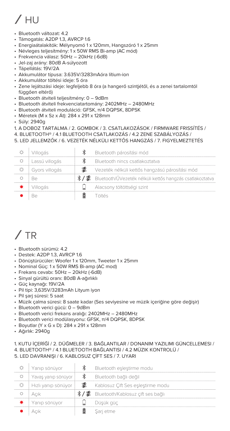# $/$  HU

- Bluetooth változat: 4.2
- Támogatás: A2DP 1.3, AVRCP 1.6
- Energiaátalakítók: Mélynyomó 1 x 120mm, Hangszóró 1 x 25mm
- Névleges teljesítmény: 1 x 50W RMS Bi-amp (AC mód)
- Frekvencia válasz: 50Hz 20kHz (-6dB)
- Jel-zaj arány: 80dB A-súlyozott
- Tápellátás: 19V/2A
- Akkumulátor típusa: 3.635V/3283mAóra lítium-ion
- Akkumulátor töltési ideje: 5 óra
- Zene lejátszási ideje: legfeljebb 8 óra (a hangerő szintjétől, és a zenei tartalomtól függően eltérő)
- Bluetooth átviteli teljesítmény: 0 9dBm
- Bluetooth átviteli frekvenciatartomány: 2402MHz 2480MHz
- Bluetooth átviteli moduláció: GFSK, π/4 DQPSK, 8DPSK
- Méretek (M x Sz x Át): 284 x 291 x 128mm
- Súly: 2940g
- 1. A DOBOZ TARTALMA / 2. GOMBOK / 3. CSATLAKOZÁSOK / FIRMWARE FRISSÍTÉS /
- 4. BLUETOOTH® / 4.1 BLUETOOTH CSATLAKOZÁS / 4.2 ZENE SZABÁLYOZÁS /
- 5. LED JELLEMZŐK / 6. VEZETÉK NÉLKÜLI KETTŐS HANGZÁS / 7. FIGYELMEZTETÉS

| Villogás       | Bluetooth párosítási mód                                                 |
|----------------|--------------------------------------------------------------------------|
| Lassú villogás | Bluetooth nincs csatlakoztatva                                           |
| Gyors villogás | Vezeték nélküli kettős hangzású párosítási mód                           |
| Re             | */ <sup>■</sup> Bluetooth/ŰVezeték nélküli kettős hangzás csatlakoztatva |
| Villogás       | Alacsony töltöttségi szint                                               |
|                | oltés                                                                    |

## / TR

- Bluetooth sürümü: 4.2
- Destek: A2DP 1.3, AVRCP 1.6
- Dönüştürücüler: Woofer 1 x 120mm, Tweeter 1 x 25mm
- Nominal Güç: 1 x 50W RMS Bi-amp (AC mod)
- Frekans cevabı: 50Hz 20kHz (-6dB)
- Sinyal gürültü oranı: 80dB A-ağırlıklı
- Güç kaynağı: 19V/2A
- Pil tipi: 3,635V/3283mAh Lityum iyon
- Pil şarj süresi: 5 saat
- Müzik çalma süresi: 8 saate kadar (Ses seviyesine ve müzik içeriğine göre değişir)
- Bluetooth verici gücü: 0 9dBm
- Bluetooth verici frekans aralığı: 2402MHz 2480MHz
- Bluetooth verici modülasyonu: GFSK, π/4 DQPSK, 8DPSK
- Boyutlar (Y x G x D): 284 x 291 x 128mm
- Ağırlık: 2940g

#### 1. KUTU İÇERİĞİ / 2. DÜĞMELER / 3. BAĞLANTILAR / DONANIM YAZILIMI GÜNCELLEMESI /

- 4. BLUETOOTH® / 4.1 BLUETOOTH BAĞLANTISI / 4.2 MÜZIK KONTROLÜ /
- 5. LED DAVRANIŞI / 6. KABLOSUZ ÇİFT SES / 7. UYARI

| Yanıp sönüyor       | Bluetooth eşleştirme modu                         |
|---------------------|---------------------------------------------------|
| Yavaş yanıp sönüyor | Bluetooth bağlı değil                             |
| Hızlı yanıp sönüyor | Kablosuz Çift Ses eşleştirme modu                 |
| Acık                | */ <sup>■</sup> Bluetooth/Kablosuz cift ses bağlı |
| Yanıp sönüyor       | Düşük güç                                         |
|                     | Sari etme                                         |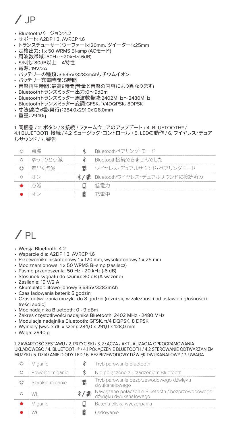# $/$  JP

- Bluetoothバージョン:4.2
- サポート: A2DP 1.3, AVRCP 1.6
- トランスデューサー:ウーファー1x120mm、ツイーター1x25mm
- 定格出力: 1 x 50 WRMS Bi-amp (ACモード)
- 周波数帯域:50Hz~20kHz(-6dB)
- S/N比:80dB以上 A特性
- 電源:19V/2A
- バッテリーの種類:3.635V/3283mAhリチウムイオン
- バッテリー充電時間:5時間
- 音楽再生時間:最高8時間(音量と音楽の内容により異なります)
- Bluetoothトランスミッター出力:0~9dBm
- Bluetoothトランスミッター周波数帯域:2402MHz~2480MHz
- Bluetoothトランスミッター変調:GFSK、π/4DQPSK、8DPSK
- 寸法(高さx幅x奥行:) 284.0x291.0x128.0mm
- 重量:2940g

1. 同梱品 / 2. ボタン / 3.接続 / ファームウェアのアップデート / 4. BLUETOOTH® / 4.1 BLUETOOTH接続 / 4.2 ミュージック・コントロール / 5. LEDの動作 / 6. ワイヤレス・デュア ルサウンド / 7. 警告

| 点滅      | Bluetoothペアリング・モード                 |
|---------|------------------------------------|
| ゆっくりと点滅 | Bluetooth接続できませんでした                |
| 麦早く占滅   | 鸞 ウイヤレス・デュアルサウンド・ペアリングモード          |
|         | */ 黒 Bluetooth/ワイヤレス・デュアルサウンドに接続済み |
| * 点減…   | 低雷力                                |
|         | な 霊 山                              |

### $/$  PL

- Wersja Bluetooth: 4.2
- Wsparcie dla: A2DP 1.3, AVRCP 1.6
- Przetworniki: niskotonowy 1 x 120 mm, wysokotonowy 1 x 25 mm
- Moc znamionowa: 1 x 50 WRMS Bi-amp (zasilacz)
- Pasmo przenoszenia: 50 Hz 20 kHz (-6 dB)
- Stosunek sygnału do szumu: 80 dB (A-ważone)
- Zasilanie: 19 V/2 A
- Akumulator: litowo-jonowy 3,635V/3283mAh
- Czas ładowania baterii: 5 godzin
- Czas odtwarzania muzyki: do 8 godzin (różni się w zależności od ustawień głośności i treści audio)
- Moc nadajnika Bluetooth: 0 9 dBm
- Zakres częstotliwości nadajnika Bluetooth: 2402 MHz 2480 MHz
- Modulacja nadajnika Bluetooth: GFSK, π/4 DQPSK, 8 DPSK
- Wymiary (wys. x dł. x szer.): 284,0 x 291,0 x 128,0 mm
- Waga: 2940 g

#### 1. ZAWARTOŚĆ ZESTAWU / 2. PRZYCISKI / 3. ZŁĄCZA / AKTUALIZACJA OPROGRAMOWANIA UKŁADOWEGO / 4. BLUETOOTH® / 4.1 POŁĄCZENIE BLUETOOTH / 4.2 STEROWANIE ODTWARZANIEM MUZYKI / 5. DZIAŁANIE DIODY LED / 6. BEZPRZEWODOWY DŹWIĘK DWUKANAŁOWY / 7. UWAGA

|  | Miganie         |           | Tryb parowania Bluetooth                                                  |
|--|-----------------|-----------|---------------------------------------------------------------------------|
|  | Powolne miganie |           | Nie połączono z urządzeniem Bluetooth                                     |
|  | Szybkie miganie |           | Tryb parowania bezprzewodowego dźwięku<br>dwukanałowego                   |
|  | Wł              | $*$ / $*$ | Nawiązano połączenie Bluetooth / bezprzewodowego<br>dźwieku dwukanałowego |
|  | Miganie         |           | Bateria bliska wyczerpania                                                |
|  | Wł              |           | ł adowanie                                                                |
|  |                 |           |                                                                           |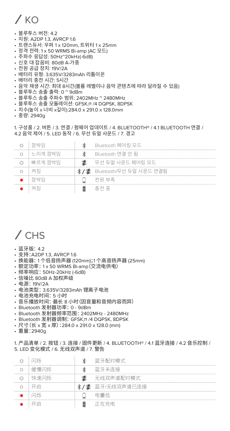### $/$  KO

- 블루투스 버전: 4.2
- 지원: A2DP 1.3, AVRCP 1.6
- 트랜스듀서: 우퍼 1 x 120mm, 트위터 1 x 25mm
- 정격 전력: 1 x 50 WRMS Bi-amp (AC 모드)
- 주파수 응답성: 50Hz~20kHz(-6dB)
- 신호 대 잡음비: 80dB A-가중
- 전원 공급 장치: 19V/2A
- 배터리 유형: 3.635V/3283mAh 리튬이온
- 배터리 충전 시간: 5시간
- 음악 재생 시간: 최대 8시간(볼륨 레벨이나 음악 콘텐츠에 따라 달라질 수 있음)
- 블루투스 송출 출력: 0 ~ 9dBm
- 블루투스 송출 주파수 범위: 2402MHz ~ 2480MHz
- 블루투스 송출 모듈레이션: GFSK,π /4 DQPSK, 8DPSK
- 치수(높이 x 너비 x깊이):284.0 x 291.0 x 128.0mm
- 중량: 2940g

1. 구성품 / 2. 버튼 / 3. 연결 / 펌웨어 업데이트 / 4. BLUETOOTH® / 4.1 BLUETOOTH 연결 / 4.2 음악 제어 / 5. LED 동작 / 6. 무선 듀엌 사운드 / 7. 경고

| 까반의       | Bluetooth 페어링 모드               |
|-----------|--------------------------------|
| i 느리게 깡박임 | Bluetooth 연결 안 됨               |
| ↑ 빠르게 깡박임 | $\mathcal{R}$ 무선 듀얼 사운드 페어링 모드 |
|           | ∦ / 빠 Bluetooth/무선 듀얼 사운드 연결됨  |
| ↑ 깡반의     | 전원 부족                          |
|           | 충전 중                           |

### / CHS

- 蓝牙版: 4.2
- 支持:A2DP 1.3, AVRCP 1.6
- 换能器: 1 个低音扬声器 (120mm);1 个高音扬声器 (25mm)
- 额定功率: 1 x 50 WRMS Bi-amp(交流电供电)
- 频率响应: 50Hz-20kHz (-6dB)
- 信噪比 80dB A 加权声级
- 电源: 19V/2A
- 电池类型: 3.635V/3283mAh 锂离子电池
- 
- 电池充电时间:5 小时<br>• 音乐播放时间:最长 8 小时 (因音量和音频内容而异)
- Bluetooth 发射器功率: 0 9dBm
- Bluetooth 发射器频率范围: 2402MHz 2480MHz
- Bluetooth 发射器调制: GFSK,π /4 DQPSK, 8DPSK
- 尺寸(长 x 宽 x 厚):284.0 x 291.0 x 128.0 (mm)
- 重量:2940g

1. 产品清单 / 2. 按钮 / 3. 连接 / 固件更新 / 4. BLUETOOTH® / 4.1 蓝牙连接 / 4.2 音乐控制 / 5. LED 变化模式 / 6. 无线双声道 / 7. 警告

| 幻雁   | ж | 蓝牙配对模式           |
|------|---|------------------|
| 缓慢闪烁 | ж | 蓝牙未连接            |
| 快速闪烁 |   | 无线双声道配对模式        |
| 开启   |   | */ # 蓝牙/无线双声道已连接 |
| 闪烁   |   | 电量低              |
| 开启   |   | 正在卒申             |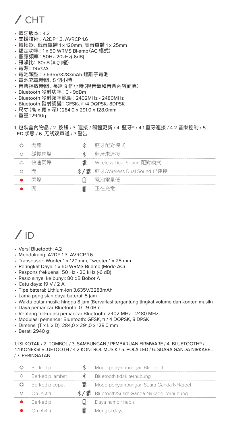# / CHT

- 藍牙版本: 4.2
- 支援技術: A2DP 1.3, AVRCP 1.6
- 轉換器:低音單體 1 x 120mm,高音單體 1 x 25mm
- 額定功率: 1 x 50 WRMS Bi-amp(AC 模式)
- 響應頻率: 50Hz-20kHz(-6dB)
- 訊噪比: 80dB(A 加權)
- 電源: 19V/2A
- 電池類型: 3.635V/3283mAh 鋰離子電池
- 電池充電時間: 5 個小時
- 音樂播放時間:長達 8 個小時(視音量和音樂內容而異)
- Bluetooth 發射功率: 0 9dBm
- Bluetooth 發射頻率範圍: 2402MHz 2480MHz
- Bluetooth 發射調變: GFSK、π /4 DQPSK、8DPSK
- 尺寸(高 x 寬 x 深):284.0 x 291.0 x 128.0mm
- 重量:2940g

1. 包裝盒內物品 / 2. 按鈕 / 3. 連接 / 韌體更新 / 4. 藍牙® / 4.1 藍牙連接 / 4.2 音樂控制 / 5. LED 狀態 / 6. 无线双声道 / 7.警告

| 閃慘   | 藍牙配對樺式                         |
|------|--------------------------------|
| 緩慢閉拳 | 藍牙未連接                          |
| 快速閉機 | Wireless Dual Sound 配對模式.      |
| 匪    | */■ 藍牙/Wireless Dual Sound 已連接 |
| 用月份  | 雷池雷量低                          |
| 匪    | 正在本国                           |

### $/$  ID

- Versi Bluetooth: 4.2
- Mendukung: A2DP 1.3, AVRCP 1.6
- Transduser: Woofer 1 x 120 mm, Tweeter 1 x 25 mm
- Peringkat Daya: 1 x 50 WRMS Bi-amp (Mode AC)
- Respons frekuensi: 50 Hz 20 kHz (-6 dB)
- Rasio sinyal ke bunyi: 80 dB Bobot A
- Catu daya: 19 V / 2 A
- Tipe baterai: Lithium-ion 3,635V/3283mAh
- Lama pengisian daya baterai: 5 jam
- Waktu putar musik: hingga 8 jam (Bervariasi tergantung tingkat volume dan konten musik)
- Daya pemancar Bluetooth: 0 9 dBm
- Rentang frekuensi pemancar Bluetooth: 2402 MHz 2480 MHz
- Modulasi pemancar Bluetooth: GFSK, π / 4 DQPSK, 8 DPSK
- Dimensi (T x L x D): 284,0 x 291,0 x 128,0 mm
- Berat: 2940 g

1. ISI KOTAK / 2. TOMBOL / 3. SAMBUNGAN / PEMBARUAN FIRMWARE / 4. BLUETOOTH® / 4.1 KONEKSI BLUETOOTH / 4.2 KONTROL MUSIK / 5. POLA LED / 6. SUARA GANDA NIRKABEL / 7. PERINGATAN

| Berkedip        | Mode penyambungan Bluetooth                   |
|-----------------|-----------------------------------------------|
| Berkedip lambat | Bluetooth tidak terhubung                     |
| Berkedip cepat  | Mode penyambungan Suara Ganda Nirkabel        |
| On (Aktif)      | */ ▓ Bluetooth/Suara Ganda Nirkabel terhubung |
| Berkedip        | Daya hampir habis                             |
| On (Aktif)      | Mengisi daya                                  |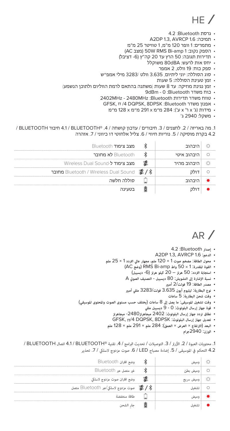# $HF/$

- גרסת Bluetooth: 4.2
- A2DP 13, AVRCP 16 :תמיכה
- מתמרים: 1 וופר 120 מ"מ, 1 טוויטר 25 מ"מ
- )AC מצב )50W RMS Bi-amp 1 :נקוב הספק•
- תדירות תגובה: 50 הרץ עד 20 קה"ץ)-6 דציבל(
	- יחס אות לרעש: dBA80 משוקלל
		- ספק כוח: 19 וולט, 2 אמפר
- סוג הסוללה: יוני ליתיום, 3.635 וולט 3283/ מילי אמפ"ש
	- זמן טעינת הסוללה: 5 שעות
- זמן נגינת מוזיקה: עד 8 שעות (משתנה בהתאם לרמת הווליום ולתוכן הנשמע)
	- כוח משדר Bluetooth: 0 dBm9
	- טווח משדר תדירות Bluetooth: MHz2480 MHz2402
		- GFSK, π /4 DQPSK, 8DPSK :Bluetooth משדר אפנון•
			- מידות )ג' x ר' x ע'(: 284 מ"מ x 291 מ"מ x 128 מ"מ
				- משקל: 2940 ג'

.1 מה באריזה / .2 לחצנים / .3 חיבורים / עדכון קושחה / .4 RBLUETOOTH / 4.1 חיבור BLUETOOTH / 4.2 בקרת מוסיקה / 5. נוריות חיווי / 6. צליל אלחוטי דו כיווני / 7. אזהרה

| Bluetooth מצב צימוד                                                   |             |  |
|-----------------------------------------------------------------------|-------------|--|
| Bluetooth לא מחובר                                                    | היבהוב איטי |  |
| Wireless Dual Sound-מצב צימוד ל-Wireless Dual Sound                   | היבהוב מהיר |  |
| Bluetooth / Wireless Dual Sound מחובר Bluetooth / Wireless Dual Sound |             |  |
| סוללה חלשה                                                            |             |  |
| רטעינה                                                                |             |  |

 $AR/$ 

- **إصدار** Bluetooth: 4.2
- A2DP 1.3, AVRCP 1.6 :**الدعم**•
- **محول الطاقة**: **مضخم صوت** 1 × 120 **ملم، مجهار عالي التردد** 1 × 25 **ملم**
	- **القوة المقدرة**: 1 × 50 **واط** amp-Bi RMS) **وضع** AC(
		- **استجابة التردد**: 50 **هرتز** 20 **كيلو هرتز** (-6 **ديسيبل**)
	- **نسبة الإشارة إلى التشويش**: 80 **ديسيبل التصنيف الصو** A
		- **مصدر الطاقة**: 19 **فولت**2/ **أمب**
	- **نوع البطارية**: **ليثيوم أيون** 3.635 **فولت**3283/ **مللي أمب**
		- **وقت شحن البطارية**: 5 **ساعات**
- **وقت تشغيل الموسيقى**: **ما يصل إلى** 8 **ساعات** (**يختلف حسب مستوى الصوت والمحتوى الموسيقي**)
	- **قوة جهاز إرسال البلوتوث**: 0 9 **ديسيبل مللي**
	- **نطاق تردد جهاز إرسال البلوتوث**: 2402 **ميجاهرتز**-2480 **ميجاهرتز تعديل جهاز إرسال البلوتوث**: DPSK8 ,DQPSK /4π ,GFSK
	-
	- **البعد** (**الارتفاع** × **العرض** × **العمق**): 284 **ملم** × 291 **ملم** × 128 **ملم**
		- **الوزن**: 2940**جرام**

1. محتويات العبوة / 2. الأزرار / 3. التوصيلات / تحديث البرامج / 4. تقنية ®A1 / BLUETOOTH / اتصال BLUETOOTH / 4.2 التحكم في الموسيقى / 5. إضاءة مصباح LED / 6. صوت مزدوج لاسلكي / 7. تحذير

| وضع اقتران Bluetooth                |      |  |
|-------------------------------------|------|--|
| غير متصل عبر Bluetooth              |      |  |
| وضع اقتران صوت مزدوج لاسلكي         | سريع |  |
| صوت مزدوج لاسلكي/عبر Bluetooth متصل |      |  |
| طاقة منخفضة                         |      |  |
|                                     |      |  |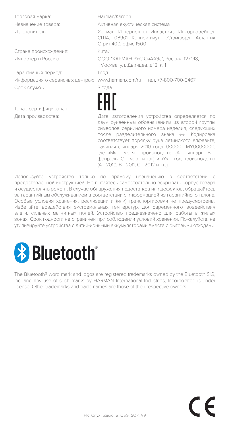Торговая марка: Harman/Kardon

Страна происхождения: Китай

Гарантийный период: 1 год Срок службы: 3 года

Товар сертифицирован

Назначение товара: Активная акустическая система

Изготовитель: Харман Интернешнл Индастриз Инкорпорейтед, США, 06901 Коннектикут, г.Стэмфорд, Атлантик Стрит 400, офис 1500

Импортер в Россию: OOO "ХАРМАН РУС СиАйЭс", Россия, 127018, г.Москва, ул. Двинцев, д.12, к. 1

Информация о сервисных центрах: www.harman.com/ru тел. +7-800-700-0467



Дата производства: Дата изготовления устройства определяется по двум буквенным обозначениям из второй группы символов серийного номера изделия, следующих после разделительного знака «-». Кодировка соответствует порядку букв латинского алфавита, начиная с января 2010 года: 000000-MY0000000, где «M» - месяц производства (А - январь, B февраль, C - март и т.д.) и «Y» - год производства (A - 2010, B - 2011, C - 2012 и т.д.).

Используйте устройство только по прямому назначению в соответствии с предоставленной инструкцией. Не пытайтесь самостоятельно вскрывать корпус товара и осуществлять ремонт. В случае обнаружения недостатков или дефектов, обращайтесь за гарантийным обслуживанием в соответствии с информацией из гарантийного талона. Особые условия хранения, реализации и (или) транспортировки не предусмотрены. Избегайте воздействия экстремальных температур, долговременного воздействия влаги, сильных магнитных полей. Устройство предназначено для работы в жилых зонах. Срок годности не ограничен при соблюдении условий хранения. Пожалуйста, не утилизируйте устройства с литий-ионными аккумуляторами вместе с бытовыми отходами.



The Bluetooth® word mark and logos are registered trademarks owned by the Bluetooth SIG Inc. and any use of such marks by HARMAN International Industries, Incorporated is under license. Other trademarks and trade names are those of their respective owners.